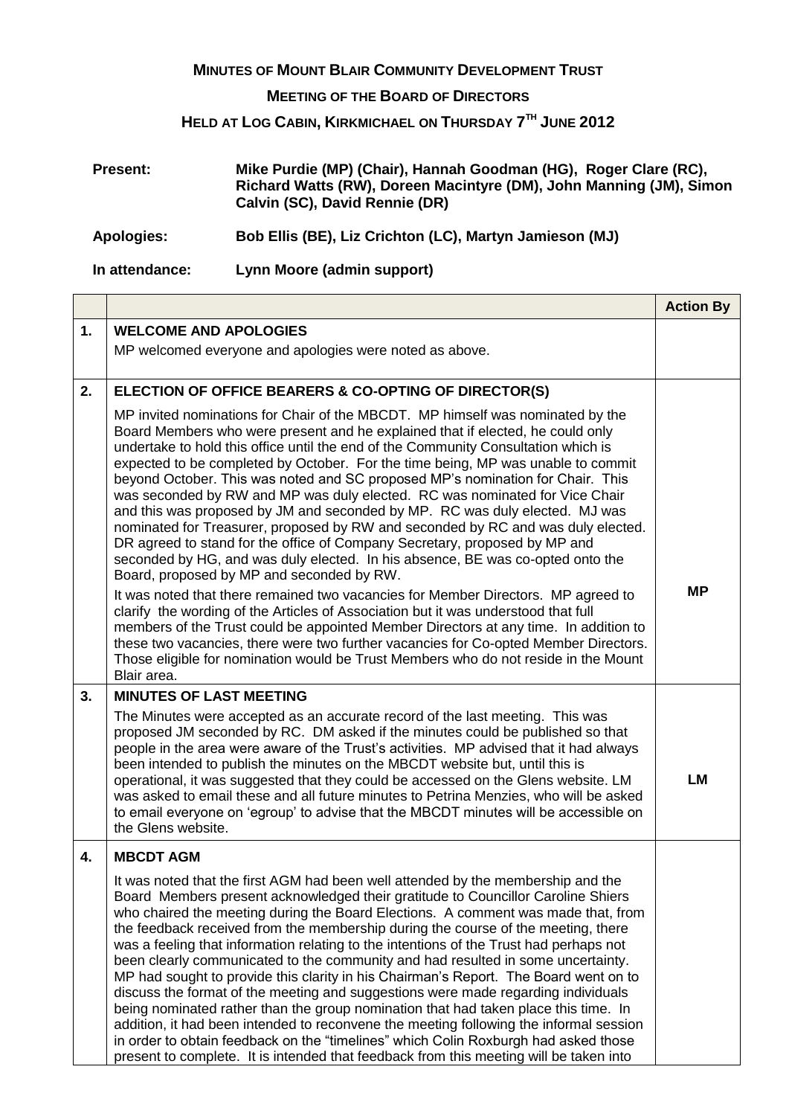## **MINUTES OF MOUNT BLAIR COMMUNITY DEVELOPMENT TRUST**

## **MEETING OF THE BOARD OF DIRECTORS**

## **HELD AT LOG CABIN, KIRKMICHAEL ON THURSDAY 7 TH JUNE 2012**

| <b>Present:</b>   | Mike Purdie (MP) (Chair), Hannah Goodman (HG), Roger Clare (RC),<br>Richard Watts (RW), Doreen Macintyre (DM), John Manning (JM), Simon<br>Calvin (SC), David Rennie (DR) |
|-------------------|---------------------------------------------------------------------------------------------------------------------------------------------------------------------------|
| <b>Apologies:</b> | Bob Ellis (BE), Liz Crichton (LC), Martyn Jamieson (MJ)                                                                                                                   |
| In attendance:    | Lynn Moore (admin support)                                                                                                                                                |

|    |                                                                                                                                                                                                                                                                                                                                                                                                                                                                                                                                                                                                                                                                                                                                                                                                                                                                                                                                                                                                                                                                             | <b>Action By</b> |
|----|-----------------------------------------------------------------------------------------------------------------------------------------------------------------------------------------------------------------------------------------------------------------------------------------------------------------------------------------------------------------------------------------------------------------------------------------------------------------------------------------------------------------------------------------------------------------------------------------------------------------------------------------------------------------------------------------------------------------------------------------------------------------------------------------------------------------------------------------------------------------------------------------------------------------------------------------------------------------------------------------------------------------------------------------------------------------------------|------------------|
| 1. | <b>WELCOME AND APOLOGIES</b>                                                                                                                                                                                                                                                                                                                                                                                                                                                                                                                                                                                                                                                                                                                                                                                                                                                                                                                                                                                                                                                |                  |
|    | MP welcomed everyone and apologies were noted as above.                                                                                                                                                                                                                                                                                                                                                                                                                                                                                                                                                                                                                                                                                                                                                                                                                                                                                                                                                                                                                     |                  |
| 2. | ELECTION OF OFFICE BEARERS & CO-OPTING OF DIRECTOR(S)                                                                                                                                                                                                                                                                                                                                                                                                                                                                                                                                                                                                                                                                                                                                                                                                                                                                                                                                                                                                                       |                  |
|    | MP invited nominations for Chair of the MBCDT. MP himself was nominated by the<br>Board Members who were present and he explained that if elected, he could only<br>undertake to hold this office until the end of the Community Consultation which is<br>expected to be completed by October. For the time being, MP was unable to commit<br>beyond October. This was noted and SC proposed MP's nomination for Chair. This<br>was seconded by RW and MP was duly elected. RC was nominated for Vice Chair<br>and this was proposed by JM and seconded by MP. RC was duly elected. MJ was<br>nominated for Treasurer, proposed by RW and seconded by RC and was duly elected.<br>DR agreed to stand for the office of Company Secretary, proposed by MP and<br>seconded by HG, and was duly elected. In his absence, BE was co-opted onto the<br>Board, proposed by MP and seconded by RW.                                                                                                                                                                                 |                  |
|    | It was noted that there remained two vacancies for Member Directors. MP agreed to<br>clarify the wording of the Articles of Association but it was understood that full<br>members of the Trust could be appointed Member Directors at any time. In addition to<br>these two vacancies, there were two further vacancies for Co-opted Member Directors.<br>Those eligible for nomination would be Trust Members who do not reside in the Mount<br>Blair area.                                                                                                                                                                                                                                                                                                                                                                                                                                                                                                                                                                                                               | <b>MP</b>        |
| 3. | <b>MINUTES OF LAST MEETING</b>                                                                                                                                                                                                                                                                                                                                                                                                                                                                                                                                                                                                                                                                                                                                                                                                                                                                                                                                                                                                                                              |                  |
|    | The Minutes were accepted as an accurate record of the last meeting. This was<br>proposed JM seconded by RC. DM asked if the minutes could be published so that<br>people in the area were aware of the Trust's activities. MP advised that it had always<br>been intended to publish the minutes on the MBCDT website but, until this is<br>operational, it was suggested that they could be accessed on the Glens website. LM<br>was asked to email these and all future minutes to Petrina Menzies, who will be asked<br>to email everyone on 'egroup' to advise that the MBCDT minutes will be accessible on<br>the Glens website.                                                                                                                                                                                                                                                                                                                                                                                                                                      | <b>LM</b>        |
| 4. | <b>MBCDT AGM</b>                                                                                                                                                                                                                                                                                                                                                                                                                                                                                                                                                                                                                                                                                                                                                                                                                                                                                                                                                                                                                                                            |                  |
|    | It was noted that the first AGM had been well attended by the membership and the<br>Board Members present acknowledged their gratitude to Councillor Caroline Shiers<br>who chaired the meeting during the Board Elections. A comment was made that, from<br>the feedback received from the membership during the course of the meeting, there<br>was a feeling that information relating to the intentions of the Trust had perhaps not<br>been clearly communicated to the community and had resulted in some uncertainty.<br>MP had sought to provide this clarity in his Chairman's Report. The Board went on to<br>discuss the format of the meeting and suggestions were made regarding individuals<br>being nominated rather than the group nomination that had taken place this time. In<br>addition, it had been intended to reconvene the meeting following the informal session<br>in order to obtain feedback on the "timelines" which Colin Roxburgh had asked those<br>present to complete. It is intended that feedback from this meeting will be taken into |                  |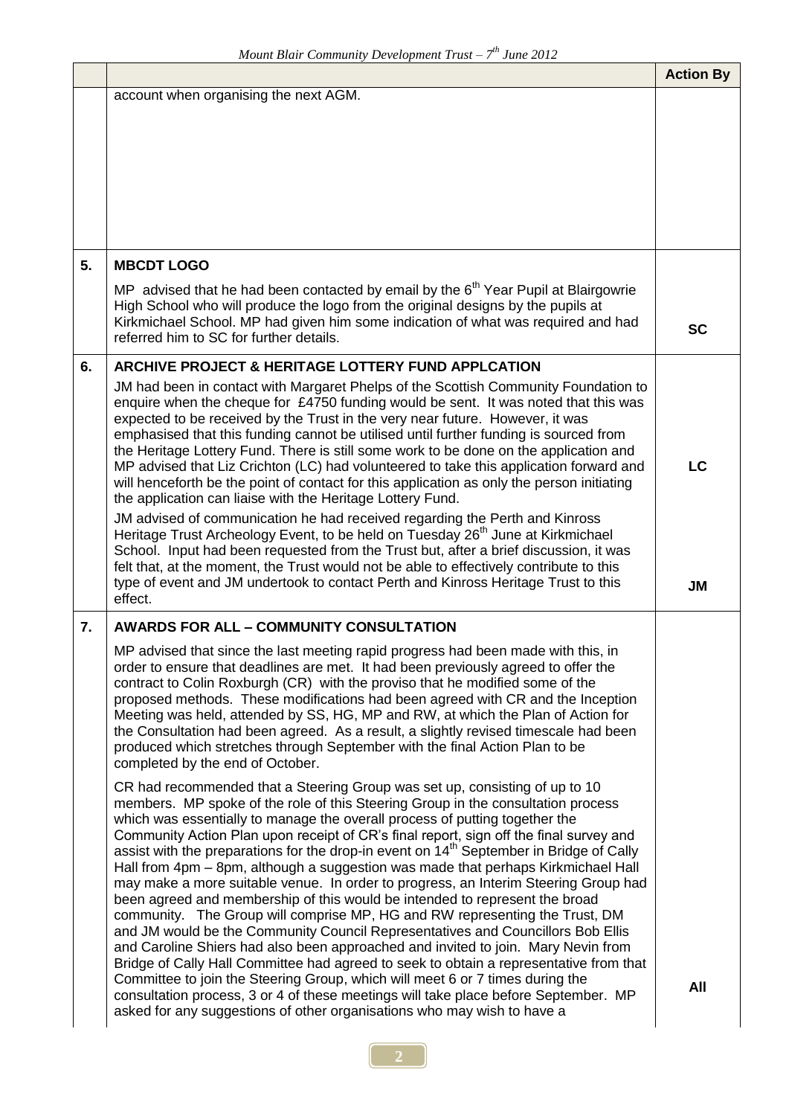|    |                                                                                                                                                                                                                                                                                                                                                                                                                                                                                                                                                                                                                                                                                                                                                                                                                                                                                                                                                                                                                                                                                                                                                                                                                                                                                                                | <b>Action By</b> |
|----|----------------------------------------------------------------------------------------------------------------------------------------------------------------------------------------------------------------------------------------------------------------------------------------------------------------------------------------------------------------------------------------------------------------------------------------------------------------------------------------------------------------------------------------------------------------------------------------------------------------------------------------------------------------------------------------------------------------------------------------------------------------------------------------------------------------------------------------------------------------------------------------------------------------------------------------------------------------------------------------------------------------------------------------------------------------------------------------------------------------------------------------------------------------------------------------------------------------------------------------------------------------------------------------------------------------|------------------|
|    | account when organising the next AGM.                                                                                                                                                                                                                                                                                                                                                                                                                                                                                                                                                                                                                                                                                                                                                                                                                                                                                                                                                                                                                                                                                                                                                                                                                                                                          |                  |
| 5. | <b>MBCDT LOGO</b>                                                                                                                                                                                                                                                                                                                                                                                                                                                                                                                                                                                                                                                                                                                                                                                                                                                                                                                                                                                                                                                                                                                                                                                                                                                                                              |                  |
|    | MP advised that he had been contacted by email by the 6 <sup>th</sup> Year Pupil at Blairgowrie<br>High School who will produce the logo from the original designs by the pupils at<br>Kirkmichael School. MP had given him some indication of what was required and had<br>referred him to SC for further details.                                                                                                                                                                                                                                                                                                                                                                                                                                                                                                                                                                                                                                                                                                                                                                                                                                                                                                                                                                                            | <b>SC</b>        |
| 6. | ARCHIVE PROJECT & HERITAGE LOTTERY FUND APPLCATION                                                                                                                                                                                                                                                                                                                                                                                                                                                                                                                                                                                                                                                                                                                                                                                                                                                                                                                                                                                                                                                                                                                                                                                                                                                             |                  |
|    | JM had been in contact with Margaret Phelps of the Scottish Community Foundation to<br>enquire when the cheque for £4750 funding would be sent. It was noted that this was<br>expected to be received by the Trust in the very near future. However, it was<br>emphasised that this funding cannot be utilised until further funding is sourced from<br>the Heritage Lottery Fund. There is still some work to be done on the application and<br>MP advised that Liz Crichton (LC) had volunteered to take this application forward and<br>will henceforth be the point of contact for this application as only the person initiating<br>the application can liaise with the Heritage Lottery Fund.                                                                                                                                                                                                                                                                                                                                                                                                                                                                                                                                                                                                            | LC               |
|    | JM advised of communication he had received regarding the Perth and Kinross<br>Heritage Trust Archeology Event, to be held on Tuesday 26 <sup>th</sup> June at Kirkmichael<br>School. Input had been requested from the Trust but, after a brief discussion, it was<br>felt that, at the moment, the Trust would not be able to effectively contribute to this<br>type of event and JM undertook to contact Perth and Kinross Heritage Trust to this<br>effect.                                                                                                                                                                                                                                                                                                                                                                                                                                                                                                                                                                                                                                                                                                                                                                                                                                                | <b>JM</b>        |
| 7. | <b>AWARDS FOR ALL - COMMUNITY CONSULTATION</b>                                                                                                                                                                                                                                                                                                                                                                                                                                                                                                                                                                                                                                                                                                                                                                                                                                                                                                                                                                                                                                                                                                                                                                                                                                                                 |                  |
|    | MP advised that since the last meeting rapid progress had been made with this, in<br>order to ensure that deadlines are met. It had been previously agreed to offer the<br>contract to Colin Roxburgh (CR) with the proviso that he modified some of the<br>proposed methods. These modifications had been agreed with CR and the Inception<br>Meeting was held, attended by SS, HG, MP and RW, at which the Plan of Action for<br>the Consultation had been agreed. As a result, a slightly revised timescale had been<br>produced which stretches through September with the final Action Plan to be<br>completed by the end of October.                                                                                                                                                                                                                                                                                                                                                                                                                                                                                                                                                                                                                                                                     |                  |
|    | CR had recommended that a Steering Group was set up, consisting of up to 10<br>members. MP spoke of the role of this Steering Group in the consultation process<br>which was essentially to manage the overall process of putting together the<br>Community Action Plan upon receipt of CR's final report, sign off the final survey and<br>assist with the preparations for the drop-in event on 14 <sup>th</sup> September in Bridge of Cally<br>Hall from 4pm - 8pm, although a suggestion was made that perhaps Kirkmichael Hall<br>may make a more suitable venue. In order to progress, an Interim Steering Group had<br>been agreed and membership of this would be intended to represent the broad<br>community. The Group will comprise MP, HG and RW representing the Trust, DM<br>and JM would be the Community Council Representatives and Councillors Bob Ellis<br>and Caroline Shiers had also been approached and invited to join. Mary Nevin from<br>Bridge of Cally Hall Committee had agreed to seek to obtain a representative from that<br>Committee to join the Steering Group, which will meet 6 or 7 times during the<br>consultation process, 3 or 4 of these meetings will take place before September. MP<br>asked for any suggestions of other organisations who may wish to have a | All              |